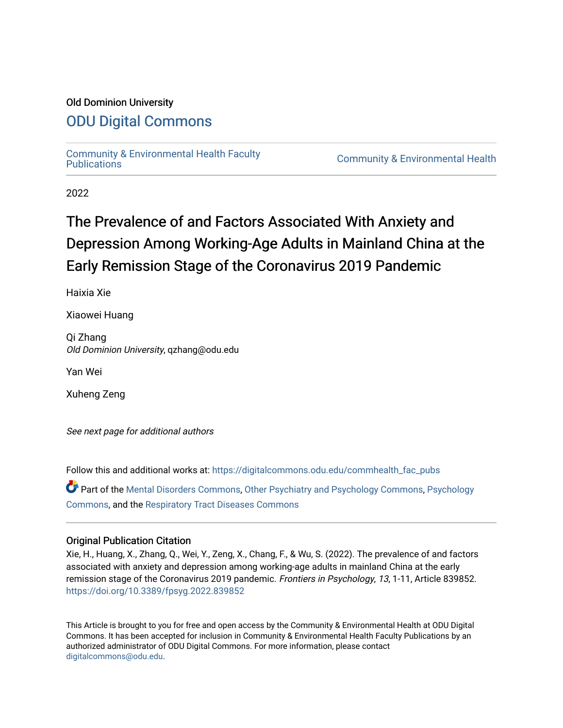## Old Dominion University

# [ODU Digital Commons](https://digitalcommons.odu.edu/)

[Community & Environmental Health Faculty](https://digitalcommons.odu.edu/commhealth_fac_pubs)

**Community & Environmental Health** 

2022

# The Prevalence of and Factors Associated With Anxiety and Depression Among Working-Age Adults in Mainland China at the Early Remission Stage of the Coronavirus 2019 Pandemic

Haixia Xie

Xiaowei Huang

Qi Zhang Old Dominion University, qzhang@odu.edu

Yan Wei

Xuheng Zeng

See next page for additional authors

Follow this and additional works at: [https://digitalcommons.odu.edu/commhealth\\_fac\\_pubs](https://digitalcommons.odu.edu/commhealth_fac_pubs?utm_source=digitalcommons.odu.edu%2Fcommhealth_fac_pubs%2F128&utm_medium=PDF&utm_campaign=PDFCoverPages) 

Part of the [Mental Disorders Commons,](http://network.bepress.com/hgg/discipline/968?utm_source=digitalcommons.odu.edu%2Fcommhealth_fac_pubs%2F128&utm_medium=PDF&utm_campaign=PDFCoverPages) [Other Psychiatry and Psychology Commons](http://network.bepress.com/hgg/discipline/992?utm_source=digitalcommons.odu.edu%2Fcommhealth_fac_pubs%2F128&utm_medium=PDF&utm_campaign=PDFCoverPages), [Psychology](http://network.bepress.com/hgg/discipline/404?utm_source=digitalcommons.odu.edu%2Fcommhealth_fac_pubs%2F128&utm_medium=PDF&utm_campaign=PDFCoverPages)  [Commons](http://network.bepress.com/hgg/discipline/404?utm_source=digitalcommons.odu.edu%2Fcommhealth_fac_pubs%2F128&utm_medium=PDF&utm_campaign=PDFCoverPages), and the [Respiratory Tract Diseases Commons](http://network.bepress.com/hgg/discipline/990?utm_source=digitalcommons.odu.edu%2Fcommhealth_fac_pubs%2F128&utm_medium=PDF&utm_campaign=PDFCoverPages)

#### Original Publication Citation

Xie, H., Huang, X., Zhang, Q., Wei, Y., Zeng, X., Chang, F., & Wu, S. (2022). The prevalence of and factors associated with anxiety and depression among working-age adults in mainland China at the early remission stage of the Coronavirus 2019 pandemic. Frontiers in Psychology, 13, 1-11, Article 839852. <https://doi.org/10.3389/fpsyg.2022.839852>

This Article is brought to you for free and open access by the Community & Environmental Health at ODU Digital Commons. It has been accepted for inclusion in Community & Environmental Health Faculty Publications by an authorized administrator of ODU Digital Commons. For more information, please contact [digitalcommons@odu.edu](mailto:digitalcommons@odu.edu).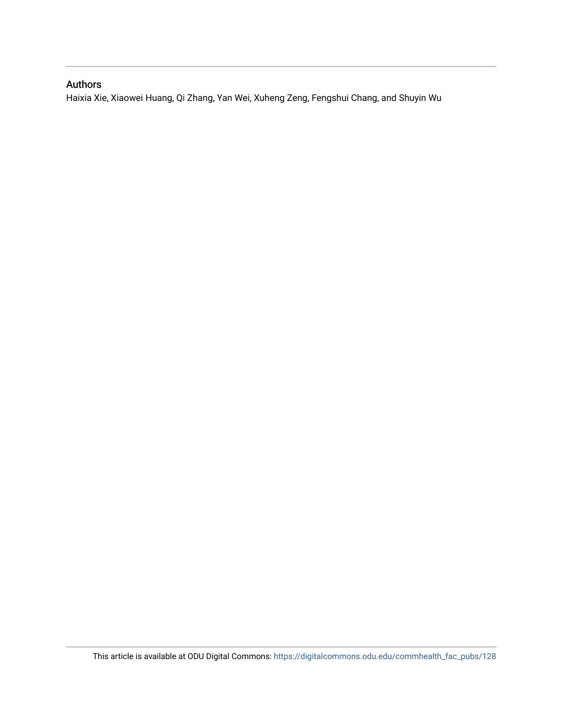# Authors

Haixia Xie, Xiaowei Huang, Qi Zhang, Yan Wei, Xuheng Zeng, Fengshui Chang, and Shuyin Wu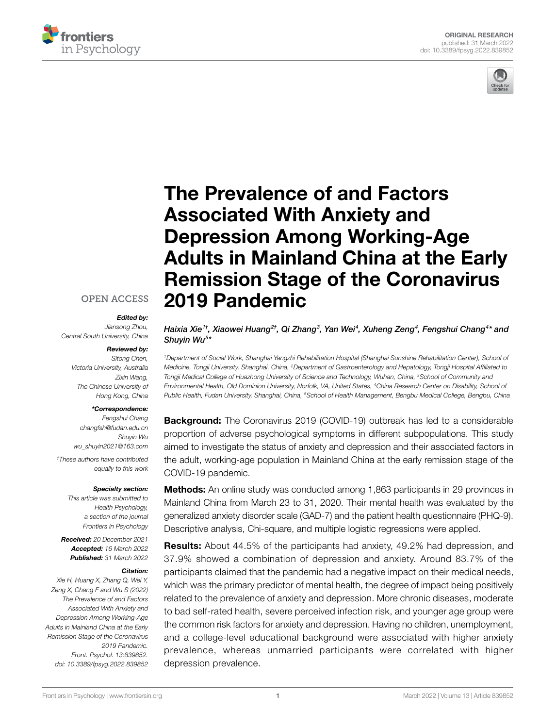



# [The Prevalence of and Factors](https://www.frontiersin.org/articles/10.3389/fpsyg.2022.839852/full)  [Associated With Anxiety and](https://www.frontiersin.org/articles/10.3389/fpsyg.2022.839852/full)  [Depression Among Working-Age](https://www.frontiersin.org/articles/10.3389/fpsyg.2022.839852/full)  [Adults in Mainland China at the Early](https://www.frontiersin.org/articles/10.3389/fpsyg.2022.839852/full)  [Remission Stage of the Coronavirus](https://www.frontiersin.org/articles/10.3389/fpsyg.2022.839852/full)  [2019 Pandemic](https://www.frontiersin.org/articles/10.3389/fpsyg.2022.839852/full)

#### **[OPEN ACCESS](https://creativecommons.org/licenses/by/4.0/)**

#### *Edited by:*

*Jiansong Zhou, Central South University, China*

#### *Reviewed by:*

*Sitong Chen, Victoria University, Australia Zixin Wang, The Chinese University of Hong Kong, China*

#### *\*Correspondence:*

*Fengshui Chang [changfsh@fudan.edu.cn](mailto:changfsh@fudan.edu.cn) Shuyin Wu [wu\\_shuyin2021@163.com](mailto:wu_shuyin2021@163.com) † These authors have contributed equally to this work*

#### *Specialty section:*

*This article was submitted to Health Psychology, a section of the journal Frontiers in Psychology*

*Received: 20 December 2021 Accepted: 16 March 2022 Published: 31 March 2022*

#### *Citation:*

*Xie H, Huang X, Zhang Q, Wei Y, Zeng X, Chang F and Wu S (2022) The Prevalence of and Factors Associated With Anxiety and Depression Among Working-Age Adults in Mainland China at the Early Remission Stage of the Coronavirus 2019 Pandemic. Front. Psychol. 13:839852. [doi: 10.3389/fpsyg.2022.839852](https://doi.org/10.3389/fpsyg.2022.839852)* *Haixia Xie* $^{1\dagger}$ *, Xiaowei Huang* $^{2\dagger}$ *, Qi Zhang* $^3$ *, Yan Wei* $^4$ *, Xuheng Zeng* $^4$ *, Fengshui Chang* $^{4*}$  *and Shuyin Wu5 \**

*1Department of Social Work, Shanghai Yangzhi Rehabilitation Hospital (Shanghai Sunshine Rehabilitation Center), School of Medicine, Tongji University, Shanghai, China, 2Department of Gastroenterology and Hepatology, Tongji Hospital Affiliated to Tongji Medical College of Huazhong University of Science and Technology, Wuhan, China, 3School of Community and Environmental Health, Old Dominion University, Norfolk, VA, United States, 4China Research Center on Disability, School of Public Health, Fudan University, Shanghai, China, 5School of Health Management, Bengbu Medical College, Bengbu, China*

Background: The Coronavirus 2019 (COVID-19) outbreak has led to a considerable proportion of adverse psychological symptoms in different subpopulations. This study aimed to investigate the status of anxiety and depression and their associated factors in the adult, working-age population in Mainland China at the early remission stage of the COVID-19 pandemic.

**Methods:** An online study was conducted among 1,863 participants in 29 provinces in Mainland China from March 23 to 31, 2020. Their mental health was evaluated by the generalized anxiety disorder scale (GAD-7) and the patient health questionnaire (PHQ-9). Descriptive analysis, Chi-square, and multiple logistic regressions were applied.

Results: About 44.5% of the participants had anxiety, 49.2% had depression, and 37.9% showed a combination of depression and anxiety. Around 83.7% of the participants claimed that the pandemic had a negative impact on their medical needs, which was the primary predictor of mental health, the degree of impact being positively related to the prevalence of anxiety and depression. More chronic diseases, moderate to bad self-rated health, severe perceived infection risk, and younger age group were the common risk factors for anxiety and depression. Having no children, unemployment, and a college-level educational background were associated with higher anxiety prevalence, whereas unmarried participants were correlated with higher depression prevalence.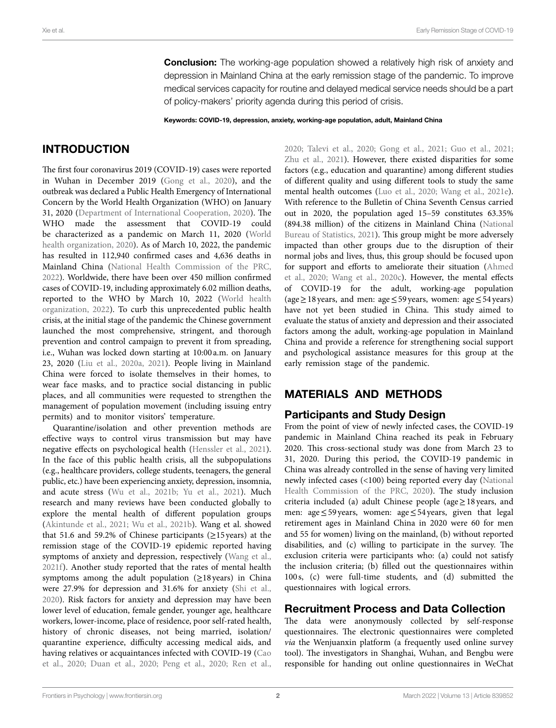**Conclusion:** The working-age population showed a relatively high risk of anxiety and depression in Mainland China at the early remission stage of the pandemic. To improve medical services capacity for routine and delayed medical service needs should be a part of policy-makers' priority agenda during this period of crisis.

Keywords: COVID-19, depression, anxiety, working-age population, adult, Mainland China

# INTRODUCTION

The first four coronavirus 2019 (COVID-19) cases were reported in Wuhan in December 2019 ([Gong et al., 2020](#page-11-0)), and the outbreak was declared a Public Health Emergency of International Concern by the World Health Organization (WHO) on January 31, 2020 [\(Department of International Cooperation, 2020](#page-11-1)). The WHO made the assessment that COVID-19 could be characterized as a pandemic on March 11, 2020 ([World](#page-12-0)  [health organization, 2020\)](#page-12-0). As of March 10, 2022, the pandemic has resulted in 112,940 confirmed cases and 4,636 deaths in Mainland China ([National Health Commission of the PRC,](#page-11-2)  [2022\)](#page-11-2). Worldwide, there have been over 450 million confirmed cases of COVID-19, including approximately 6.02 million deaths, reported to the WHO by March 10, 2022 ([World health](#page-12-1)  [organization, 2022](#page-12-1)). To curb this unprecedented public health crisis, at the initial stage of the pandemic the Chinese government launched the most comprehensive, stringent, and thorough prevention and control campaign to prevent it from spreading, i.e., Wuhan was locked down starting at 10:00 a.m. on January 23, 2020 ([Liu et al., 2020a](#page-11-3), [2021\)](#page-11-4). People living in Mainland China were forced to isolate themselves in their homes, to wear face masks, and to practice social distancing in public places, and all communities were requested to strengthen the management of population movement (including issuing entry permits) and to monitor visitors' temperature.

Quarantine/isolation and other prevention methods are effective ways to control virus transmission but may have negative effects on psychological health ([Henssler et al., 2021](#page-11-5)). In the face of this public health crisis, all the subpopulations (e.g., healthcare providers, college students, teenagers, the general public, etc.) have been experiencing anxiety, depression, insomnia, and acute stress (Wu et al., 2021b; Yu et al., 2021). Much research and many reviews have been conducted globally to explore the mental health of different population groups ([Akintunde et al., 2021;](#page-11-6) [Wu et al., 2021b](#page-12-2)). Wang et al. showed that 51.6 and 59.2% of Chinese participants ( $\geq$ 15 years) at the remission stage of the COVID-19 epidemic reported having symptoms of anxiety and depression, respectively [\(Wang et al.,](#page-12-4)  [2021f](#page-12-4)). Another study reported that the rates of mental health symptoms among the adult population  $(\geq 18$  years) in China were 27.9% for depression and 31.6% for anxiety ([Shi et al.,](#page-11-7)  [2020\)](#page-11-7). Risk factors for anxiety and depression may have been lower level of education, female gender, younger age, healthcare workers, lower-income, place of residence, poor self-rated health, history of chronic diseases, not being married, isolation/ quarantine experience, difficulty accessing medical aids, and having relatives or acquaintances infected with COVID-19 [\(Cao](#page-11-8)  [et al., 2020](#page-11-8); [Duan et al., 2020;](#page-11-9) [Peng et al., 2020](#page-11-10); [Ren et al.,](#page-11-11)  [2020;](#page-11-11) [Talevi et al., 2020](#page-12-5); [Gong et al., 2021](#page-11-12); [Guo et al., 2021;](#page-11-13) Zhu et al., 2021). However, there existed disparities for some factors (e.g., education and quarantine) among different studies of different quality and using different tools to study the same mental health outcomes [\(Luo et al., 2020](#page-11-14); [Wang et al., 2021e](#page-12-7)). With reference to the Bulletin of China Seventh Census carried out in 2020, the population aged 15–59 constitutes 63.35% (894.38 million) of the citizens in Mainland China [\(National](#page-11-15)  [Bureau of Statistics, 2021\)](#page-11-15). This group might be more adversely impacted than other groups due to the disruption of their normal jobs and lives, thus, this group should be focused upon for support and efforts to ameliorate their situation [\(Ahmed](#page-11-16)  [et al., 2020](#page-11-16); [Wang et al., 2020c\)](#page-12-8). However, the mental effects of COVID-19 for the adult, working-age population (age≥18 years, and men: age≤59 years, women: age≤54 years) have not yet been studied in China. This study aimed to evaluate the status of anxiety and depression and their associated factors among the adult, working-age population in Mainland China and provide a reference for strengthening social support and psychological assistance measures for this group at the early remission stage of the pandemic.

# MATERIALS AND METHODS

#### Participants and Study Design

From the point of view of newly infected cases, the COVID-19 pandemic in Mainland China reached its peak in February 2020. This cross-sectional study was done from March 23 to 31, 2020. During this period, the COVID-19 pandemic in China was already controlled in the sense of having very limited newly infected cases (<100) being reported every day [\(National](#page-11-17)  [Health Commission of the PRC, 2020](#page-11-17)). The study inclusion criteria included (a) adult Chinese people (age  $\geq$  18 years, and men: age≤59 years, women: age≤54 years, given that legal retirement ages in Mainland China in 2020 were 60 for men and 55 for women) living on the mainland, (b) without reported disabilities, and (c) willing to participate in the survey. The exclusion criteria were participants who: (a) could not satisfy the inclusion criteria; (b) filled out the questionnaires within 100 s, (c) were full-time students, and (d) submitted the questionnaires with logical errors.

#### Recruitment Process and Data Collection

The data were anonymously collected by self-response questionnaires. The electronic questionnaires were completed *via* the Wenjuanxin platform (a frequently used online survey tool). The investigators in Shanghai, Wuhan, and Bengbu were responsible for handing out online questionnaires in WeChat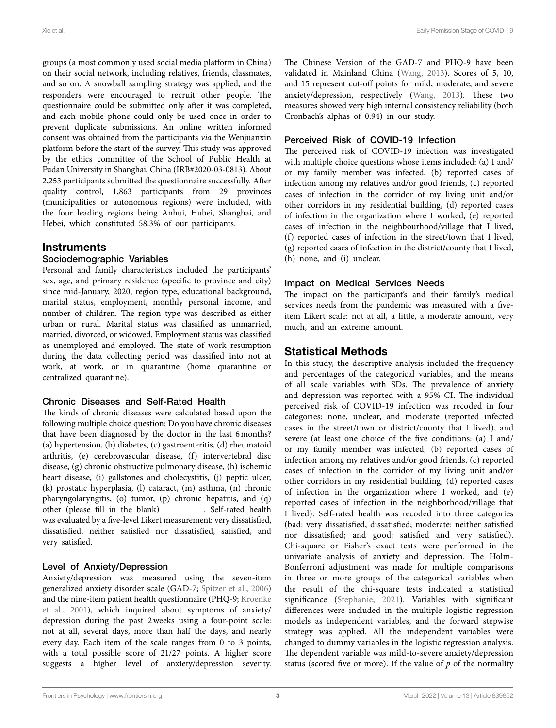groups (a most commonly used social media platform in China) on their social network, including relatives, friends, classmates, and so on. A snowball sampling strategy was applied, and the responders were encouraged to recruit other people. The questionnaire could be submitted only after it was completed, and each mobile phone could only be used once in order to prevent duplicate submissions. An online written informed consent was obtained from the participants *via* the Wenjuanxin platform before the start of the survey. This study was approved by the ethics committee of the School of Public Health at Fudan University in Shanghai, China (IRB#2020-03-0813). About 2,253 participants submitted the questionnaire successfully. After quality control, 1,863 participants from 29 provinces (municipalities or autonomous regions) were included, with the four leading regions being Anhui, Hubei, Shanghai, and Hebei, which constituted 58.3% of our participants.

#### Instruments

#### Sociodemographic Variables

Personal and family characteristics included the participants' sex, age, and primary residence (specific to province and city) since mid-January, 2020, region type, educational background, marital status, employment, monthly personal income, and number of children. The region type was described as either urban or rural. Marital status was classified as unmarried, married, divorced, or widowed. Employment status was classified as unemployed and employed. The state of work resumption during the data collecting period was classified into not at work, at work, or in quarantine (home quarantine or centralized quarantine).

#### Chronic Diseases and Self-Rated Health

The kinds of chronic diseases were calculated based upon the following multiple choice question: Do you have chronic diseases that have been diagnosed by the doctor in the last 6months? (a) hypertension, (b) diabetes, (c) gastroenteritis, (d) rheumatoid arthritis, (e) cerebrovascular disease, (f) intervertebral disc disease, (g) chronic obstructive pulmonary disease, (h) ischemic heart disease, (i) gallstones and cholecystitis, (j) peptic ulcer, (k) prostatic hyperplasia, (l) cataract, (m) asthma, (n) chronic pharyngolaryngitis, (o) tumor, (p) chronic hepatitis, and (q) other (please fill in the blank)\_\_\_\_\_\_\_\_\_\_. Self-rated health was evaluated by a five-level Likert measurement: very dissatisfied, dissatisfied, neither satisfied nor dissatisfied, satisfied, and very satisfied.

#### Level of Anxiety/Depression

Anxiety/depression was measured using the seven-item generalized anxiety disorder scale (GAD-7; [Spitzer et al., 2006](#page-11-18)) and the nine-item patient health questionnaire (PHQ-9; [Kroenke](#page-11-19)  [et al., 2001\)](#page-11-19), which inquired about symptoms of anxiety/ depression during the past 2weeks using a four-point scale: not at all, several days, more than half the days, and nearly every day. Each item of the scale ranges from 0 to 3 points, with a total possible score of 21/27 points. A higher score suggests a higher level of anxiety/depression severity. The Chinese Version of the GAD-7 and PHQ-9 have been validated in Mainland China [\(Wang, 2013](#page-12-9)). Scores of 5, 10, and 15 represent cut-off points for mild, moderate, and severe anxiety/depression, respectively [\(Wang, 2013\)](#page-12-9). These two measures showed very high internal consistency reliability (both Cronbach's alphas of 0.94) in our study.

#### Perceived Risk of COVID-19 Infection

The perceived risk of COVID-19 infection was investigated with multiple choice questions whose items included: (a) I and/ or my family member was infected, (b) reported cases of infection among my relatives and/or good friends, (c) reported cases of infection in the corridor of my living unit and/or other corridors in my residential building, (d) reported cases of infection in the organization where I worked, (e) reported cases of infection in the neighbourhood/village that I lived, (f) reported cases of infection in the street/town that I lived, (g) reported cases of infection in the district/county that I lived, (h) none, and (i) unclear.

#### Impact on Medical Services Needs

The impact on the participant's and their family's medical services needs from the pandemic was measured with a fiveitem Likert scale: not at all, a little, a moderate amount, very much, and an extreme amount.

# Statistical Methods

In this study, the descriptive analysis included the frequency and percentages of the categorical variables, and the means of all scale variables with SDs. The prevalence of anxiety and depression was reported with a 95% CI. The individual perceived risk of COVID-19 infection was recoded in four categories: none, unclear, and moderate (reported infected cases in the street/town or district/county that I lived), and severe (at least one choice of the five conditions: (a) I and/ or my family member was infected, (b) reported cases of infection among my relatives and/or good friends, (c) reported cases of infection in the corridor of my living unit and/or other corridors in my residential building, (d) reported cases of infection in the organization where I worked, and (e) reported cases of infection in the neighborhood/village that I lived). Self-rated health was recoded into three categories (bad: very dissatisfied, dissatisfied; moderate: neither satisfied nor dissatisfied; and good: satisfied and very satisfied). Chi-square or Fisher's exact tests were performed in the univariate analysis of anxiety and depression. The Holm-Bonferroni adjustment was made for multiple comparisons in three or more groups of the categorical variables when the result of the chi-square tests indicated a statistical significance ([Stephanie, 2021\)](#page-12-10). Variables with significant differences were included in the multiple logistic regression models as independent variables, and the forward stepwise strategy was applied. All the independent variables were changed to dummy variables in the logistic regression analysis. The dependent variable was mild-to-severe anxiety/depression status (scored five or more). If the value of *p* of the normality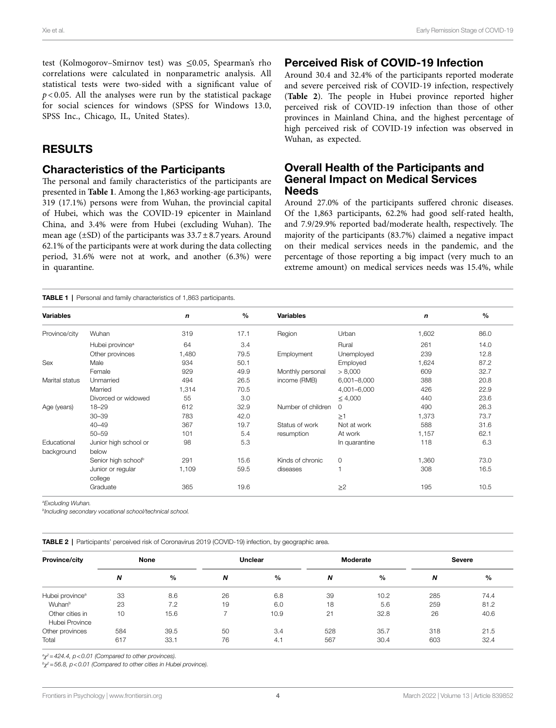Perceived Risk of COVID-19 Infection

Overall Health of the Participants and General Impact on Medical Services

Around 27.0% of the participants suffered chronic diseases. Of the 1,863 participants, 62.2% had good self-rated health, and 7.9/29.9% reported bad/moderate health, respectively. The majority of the participants (83.7%) claimed a negative impact on their medical services needs in the pandemic, and the percentage of those reporting a big impact (very much to an extreme amount) on medical services needs was 15.4%, while

Wuhan, as expected.

Needs

Around 30.4 and 32.4% of the participants reported moderate and severe perceived risk of COVID-19 infection, respectively (**[Table 2](#page-5-1)**). The people in Hubei province reported higher perceived risk of COVID-19 infection than those of other provinces in Mainland China, and the highest percentage of high perceived risk of COVID-19 infection was observed in

test (Kolmogorov–Smirnov test) was ≤0.05, Spearman's rho correlations were calculated in nonparametric analysis. All statistical tests were two-sided with a significant value of  $p$  < 0.05. All the analyses were run by the statistical package for social sciences for windows (SPSS for Windows 13.0, SPSS Inc., Chicago, IL, United States).

#### RESULTS

#### Characteristics of the Participants

The personal and family characteristics of the participants are presented in **[Table 1](#page-5-0)**. Among the 1,863 working-age participants, 319 (17.1%) persons were from Wuhan, the provincial capital of Hubei, which was the COVID-19 epicenter in Mainland China, and 3.4% were from Hubei (excluding Wuhan). The mean age ( $\pm$ SD) of the participants was  $33.7\pm8.7$  years. Around 62.1% of the participants were at work during the data collecting period, 31.6% were not at work, and another (6.3%) were in quarantine.

<span id="page-5-0"></span>TABLE 1 | Personal and family characteristics of 1,863 participants.

| <b>Variables</b>          |                                 | n     | $\%$ | <b>Variables</b>   |               | n     | $\%$ |
|---------------------------|---------------------------------|-------|------|--------------------|---------------|-------|------|
| Province/city             | Wuhan                           | 319   | 17.1 | Region             | Urban         | 1,602 | 86.0 |
|                           | Hubei province <sup>a</sup>     | 64    | 3.4  |                    | Rural         | 261   | 14.0 |
|                           | Other provinces                 | 1,480 | 79.5 | Employment         | Unemployed    | 239   | 12.8 |
| Sex                       | Male                            | 934   | 50.1 |                    | Employed      | 1,624 | 87.2 |
|                           | Female                          | 929   | 49.9 | Monthly personal   | > 8,000       | 609   | 32.7 |
| Marital status            | Unmarried                       | 494   | 26.5 | income (RMB)       | 6,001-8,000   | 388   | 20.8 |
|                           | Married                         | 1,314 | 70.5 |                    | 4,001-6,000   | 426   | 22.9 |
|                           | Divorced or widowed             | 55    | 3.0  |                    | $\leq 4,000$  | 440   | 23.6 |
| Age (years)               | $18 - 29$                       | 612   | 32.9 | Number of children | $\Omega$      | 490   | 26.3 |
|                           | $30 - 39$                       | 783   | 42.0 |                    | $\geq$ 1      | 1,373 | 73.7 |
|                           | $40 - 49$                       | 367   | 19.7 | Status of work     | Not at work   | 588   | 31.6 |
|                           | $50 - 59$                       | 101   | 5.4  | resumption         | At work       | 1,157 | 62.1 |
| Educational<br>background | Junior high school or<br>below  | 98    | 5.3  |                    | In quarantine | 118   | 6.3  |
|                           | Senior high school <sup>b</sup> | 291   | 15.6 | Kinds of chronic   | $\circ$       | 1,360 | 73.0 |
|                           | Junior or regular<br>college    | 1,109 | 59.5 | diseases           |               | 308   | 16.5 |
|                           | Graduate                        | 365   | 19.6 |                    | $\geq$ 2      | 195   | 10.5 |

*a Excluding Wuhan.*

*b Including secondary vocational school/technical school.*

<span id="page-5-1"></span>TABLE 2 | Participants' perceived risk of Coronavirus 2019 (COVID-19) infection, by geographic area.

| Province/city                     | None |      | <b>Unclear</b>   |               | Moderate         |               | <b>Severe</b> |      |
|-----------------------------------|------|------|------------------|---------------|------------------|---------------|---------------|------|
|                                   | N    | $\%$ | $\boldsymbol{N}$ | $\frac{0}{0}$ | $\boldsymbol{N}$ | $\frac{0}{0}$ | N             | %    |
| Hubei province <sup>a</sup>       | 33   | 8.6  | 26               | 6.8           | 39               | 10.2          | 285           | 74.4 |
| Wuhan <sup>b</sup>                | 23   | 7.2  | 19               | 6.0           | 18               | 5.6           | 259           | 81.2 |
| Other cities in<br>Hubei Province | 10   | 15.6 | ⇁                | 10.9          | 21               | 32.8          | 26            | 40.6 |
| Other provinces                   | 584  | 39.5 | 50               | 3.4           | 528              | 35.7          | 318           | 21.5 |
| Total                             | 617  | 33.1 | 76               | 4.1           | 567              | 30.4          | 603           | 32.4 |

*a χ2=424.4, p<0.01 (Compared to other provinces).*

*b χ2=56.8, p<0.01 (Compared to other cities in Hubei province).*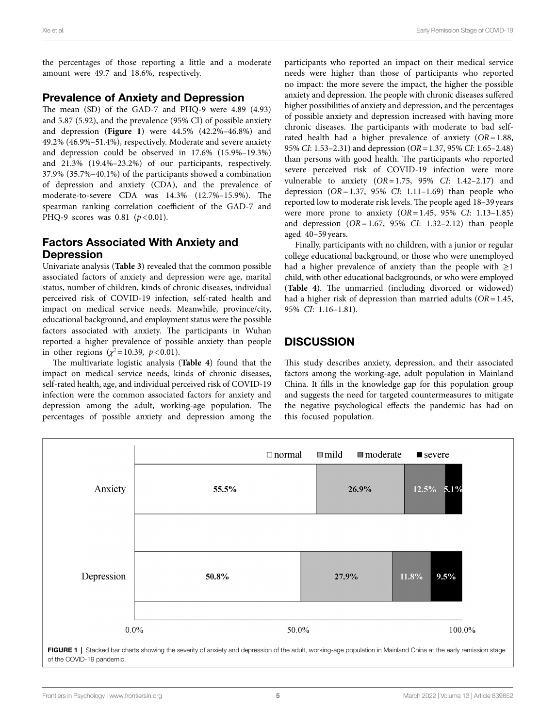the percentages of those reporting a little and a moderate amount were 49.7 and 18.6%, respectively.

# Prevalence of Anxiety and Depression

The mean (SD) of the GAD-7 and PHQ-9 were 4.89 (4.93) and 5.87 (5.92), and the prevalence (95% CI) of possible anxiety and depression (**[Figure 1](#page-6-0)**) were 44.5% (42.2%–46.8%) and 49.2% (46.9%–51.4%), respectively. Moderate and severe anxiety and depression could be observed in 17.6% (15.9%–19.3%) and 21.3% (19.4%–23.2%) of our participants, respectively. 37.9% (35.7%–40.1%) of the participants showed a combination of depression and anxiety (CDA), and the prevalence of moderate-to-severe CDA was 14.3% (12.7%–15.9%). The spearman ranking correlation coefficient of the GAD-7 and PHQ-9 scores was 0.81 ( $p$  < 0.01).

# Factors Associated With Anxiety and Depression

Univariate analysis (**[Table 3](#page-7-0)**) revealed that the common possible associated factors of anxiety and depression were age, marital status, number of children, kinds of chronic diseases, individual perceived risk of COVID-19 infection, self-rated health and impact on medical service needs. Meanwhile, province/city, educational background, and employment status were the possible factors associated with anxiety. The participants in Wuhan reported a higher prevalence of possible anxiety than people in other regions ( $\chi^2$ =10.39, *p*<0.01).

The multivariate logistic analysis (**[Table 4](#page-8-0)**) found that the impact on medical service needs, kinds of chronic diseases, self-rated health, age, and individual perceived risk of COVID-19 infection were the common associated factors for anxiety and depression among the adult, working-age population. The percentages of possible anxiety and depression among the

participants who reported an impact on their medical service needs were higher than those of participants who reported no impact: the more severe the impact, the higher the possible anxiety and depression. The people with chronic diseases suffered higher possibilities of anxiety and depression, and the percentages of possible anxiety and depression increased with having more chronic diseases. The participants with moderate to bad selfrated health had a higher prevalence of anxiety (*OR*=1.88, 95% *CI*: 1.53–2.31) and depression (*OR*=1.37, 95% *CI*: 1.65–2.48) than persons with good health. The participants who reported severe perceived risk of COVID-19 infection were more vulnerable to anxiety (*OR*=1.75, 95% *CI*: 1.42–2.17) and depression (*OR*=1.37, 95% *CI*: 1.11–1.69) than people who reported low to moderate risk levels. The people aged 18–39 years were more prone to anxiety (*OR*=1.45, 95% *CI*: 1.13–1.85) and depression (*OR*=1.67, 95% *CI*: 1.32–2.12) than people aged 40–59 years.

Finally, participants with no children, with a junior or regular college educational background, or those who were unemployed had a higher prevalence of anxiety than the people with  $\geq$ 1 child, with other educational backgrounds, or who were employed (**[Table 4](#page-8-0)**). The unmarried (including divorced or widowed) had a higher risk of depression than married adults (*OR*=1.45, 95% *CI*: 1.16–1.81).

# **DISCUSSION**

This study describes anxiety, depression, and their associated factors among the working-age, adult population in Mainland China. It fills in the knowledge gap for this population group and suggests the need for targeted countermeasures to mitigate the negative psychological effects the pandemic has had on this focused population.

<span id="page-6-0"></span>

FIGURE 1 | Stacked bar charts showing the severity of anxiety and depression of the adult, working-age population in Mainland China at the early remission stage of the COVID-19 pandemic.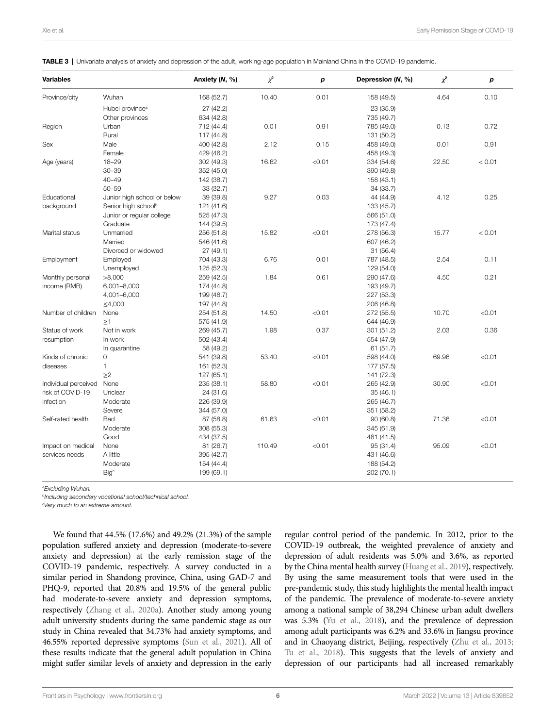<span id="page-7-0"></span>TABLE 3 | Univariate analysis of anxiety and depression of the adult, working-age population in Mainland China in the COVID-19 pandemic.

| <b>Variables</b>     |                                 | Anxiety (N, %) | $\chi^2$ | р      | Depression (N, %) | $\chi^2$ | р      |
|----------------------|---------------------------------|----------------|----------|--------|-------------------|----------|--------|
| Province/city        | Wuhan                           | 168 (52.7)     | 10.40    | 0.01   | 158 (49.5)        | 4.64     | 0.10   |
|                      | Hubei province <sup>a</sup>     | 27 (42.2)      |          |        | 23 (35.9)         |          |        |
|                      | Other provinces                 | 634 (42.8)     |          |        | 735 (49.7)        |          |        |
| Region               | Urban                           | 712 (44.4)     | 0.01     | 0.91   | 785 (49.0)        | 0.13     | 0.72   |
|                      | Rural                           | 117 (44.8)     |          |        | 131 (50.2)        |          |        |
| Sex                  | Male                            | 400 (42.8)     | 2.12     | 0.15   | 458 (49.0)        | 0.01     | 0.91   |
|                      | Female                          | 429 (46.2)     |          |        | 458 (49.3)        |          |        |
| Age (years)          | $18 - 29$                       | 302 (49.3)     | 16.62    | < 0.01 | 334 (54.6)        | 22.50    | < 0.01 |
|                      | $30 - 39$                       | 352 (45.0)     |          |        | 390 (49.8)        |          |        |
|                      | $40 - 49$                       | 142 (38.7)     |          |        | 158 (43.1)        |          |        |
|                      | $50 - 59$                       | 33 (32.7)      |          |        | 34 (33.7)         |          |        |
| Educational          | Junior high school or below     | 39 (39.8)      | 9.27     | 0.03   | 44 (44.9)         | 4.12     | 0.25   |
| background           | Senior high school <sup>b</sup> | 121 (41.6)     |          |        | 133 (45.7)        |          |        |
|                      | Junior or regular college       | 525 (47.3)     |          |        | 566 (51.0)        |          |        |
|                      | Graduate                        | 144 (39.5)     |          |        | 173 (47.4)        |          |        |
| Marital status       | Unmarried                       | 256 (51.8)     | 15.82    | < 0.01 | 278 (56.3)        | 15.77    | < 0.01 |
|                      | Married                         | 546 (41.6)     |          |        | 607 (46.2)        |          |        |
|                      | Divorced or widowed             | 27 (49.1)      |          |        | 31(56.4)          |          |        |
| Employment           | Employed                        | 704 (43.3)     | 6.76     | 0.01   | 787 (48.5)        | 2.54     | 0.11   |
|                      | Unemployed                      | 125 (52.3)     |          |        | 129 (54.0)        |          |        |
| Monthly personal     | >8,000                          | 259 (42.5)     | 1.84     | 0.61   | 290 (47.6)        | 4.50     | 0.21   |
| income (RMB)         | 6,001-8,000                     | 174 (44.8)     |          |        | 193 (49.7)        |          |        |
|                      | 4,001-6,000                     | 199 (46.7)     |          |        | 227 (53.3)        |          |        |
|                      | ≤4,000                          | 197 (44.8)     |          |        | 206 (46.8)        |          |        |
| Number of children   | None                            | 254 (51.8)     | 14.50    | < 0.01 | 272 (55.5)        | 10.70    | < 0.01 |
|                      | $\geq 1$                        | 575 (41.9)     |          |        | 644 (46.9)        |          |        |
| Status of work       | Not in work                     | 269 (45.7)     | 1.98     | 0.37   | 301 (51.2)        | 2.03     | 0.36   |
| resumption           | In work                         | 502 (43.4)     |          |        | 554 (47.9)        |          |        |
|                      | In quarantine                   | 58 (49.2)      |          |        | 61(51.7)          |          |        |
| Kinds of chronic     | $\mathsf{O}\xspace$             | 541 (39.8)     | 53.40    | < 0.01 | 598 (44.0)        | 69.96    | < 0.01 |
| diseases             | 1                               | 161 (52.3)     |          |        | 177 (57.5)        |          |        |
|                      | $\geq$ 2                        | 127 (65.1)     |          |        | 141 (72.3)        |          |        |
| Individual perceived | None                            | 235 (38.1)     | 58.80    | < 0.01 | 265 (42.9)        | 30.90    | < 0.01 |
| risk of COVID-19     | Unclear                         | 24 (31.6)      |          |        | 35(46.1)          |          |        |
| infection            | Moderate                        | 226 (39.9)     |          |        | 265 (46.7)        |          |        |
|                      | Severe                          | 344 (57.0)     |          |        | 351 (58.2)        |          |        |
| Self-rated health    | Bad                             | 87 (58.8)      | 61.63    | < 0.01 | 90(60.8)          | 71.36    | < 0.01 |
|                      | Moderate                        | 308 (55.3)     |          |        | 345 (61.9)        |          |        |
|                      | Good                            | 434 (37.5)     |          |        | 481 (41.5)        |          |        |
| Impact on medical    | None                            | 81 (26.7)      | 110.49   | < 0.01 | 95 (31.4)         | 95.09    | < 0.01 |
| services needs       | A little                        | 395 (42.7)     |          |        | 431 (46.6)        |          |        |
|                      | Moderate                        | 154 (44.4)     |          |        | 188 (54.2)        |          |        |
|                      | <b>Big</b> <sup>c</sup>         | 199 (69.1)     |          |        | 202 (70.1)        |          |        |

*a Excluding Wuhan.*

*b Including secondary vocational school/technical school.*

*c Very much to an extreme amount.*

We found that 44.5% (17.6%) and 49.2% (21.3%) of the sample population suffered anxiety and depression (moderate-to-severe anxiety and depression) at the early remission stage of the COVID-19 pandemic, respectively. A survey conducted in a similar period in Shandong province, China, using GAD-7 and PHQ-9, reported that 20.8% and 19.5% of the general public had moderate-to-severe anxiety and depression symptoms, respectively [\(Zhang et al., 2020a\)](#page-12-11). Another study among young adult university students during the same pandemic stage as our study in China revealed that 34.73% had anxiety symptoms, and 46.55% reported depressive symptoms [\(Sun et al., 2021](#page-12-12)). All of these results indicate that the general adult population in China might suffer similar levels of anxiety and depression in the early

regular control period of the pandemic. In 2012, prior to the COVID-19 outbreak, the weighted prevalence of anxiety and depression of adult residents was 5.0% and 3.6%, as reported by the China mental health survey [\(Huang et al., 2019](#page-11-20)), respectively. By using the same measurement tools that were used in the pre-pandemic study, this study highlights the mental health impact of the pandemic. The prevalence of moderate-to-severe anxiety among a national sample of 38,294 Chinese urban adult dwellers was 5.3% [\(Yu et al., 2018\)](#page-12-13), and the prevalence of depression among adult participants was 6.2% and 33.6% in Jiangsu province and in Chaoyang district, Beijing, respectively [\(Zhu et al., 2013;](#page-12-14) [Tu et al., 2018](#page-12-15)). This suggests that the levels of anxiety and depression of our participants had all increased remarkably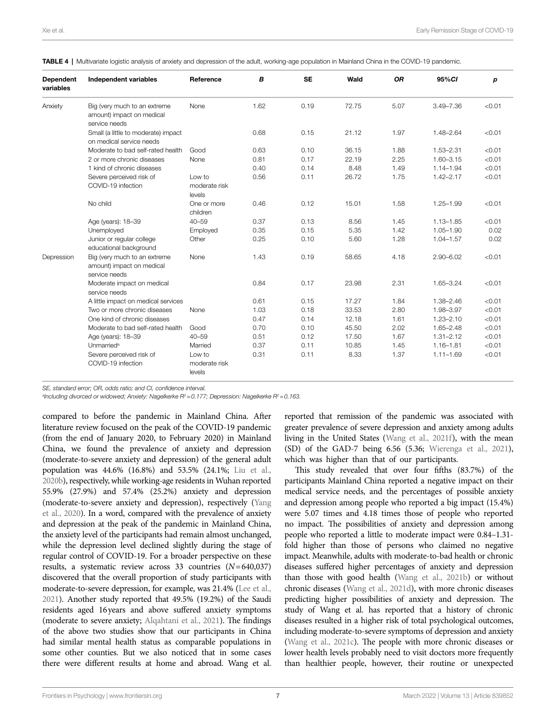<span id="page-8-0"></span>

|  |  | TABLE 4   Multivariate logistic analysis of anxiety and depression of the adult, working-age population in Mainland China in the COVID-19 pandemic. |  |  |
|--|--|-----------------------------------------------------------------------------------------------------------------------------------------------------|--|--|
|  |  |                                                                                                                                                     |  |  |

| <b>Dependent</b><br>variables | <b>Independent variables</b>                                               | Reference                         | B    | <b>SE</b> | Wald  | <b>OR</b> | 95%CI         | p      |
|-------------------------------|----------------------------------------------------------------------------|-----------------------------------|------|-----------|-------|-----------|---------------|--------|
| Anxiety                       | Big (very much to an extreme<br>amount) impact on medical<br>service needs | None                              | 1.62 | 0.19      | 72.75 | 5.07      | $3.49 - 7.36$ | < 0.01 |
|                               | Small (a little to moderate) impact<br>on medical service needs            |                                   | 0.68 | 0.15      | 21.12 | 1.97      | 1.48-2.64     | < 0.01 |
|                               | Moderate to bad self-rated health                                          | Good                              | 0.63 | 0.10      | 36.15 | 1.88      | 1.53-2.31     | < 0.01 |
|                               | 2 or more chronic diseases                                                 | None                              | 0.81 | 0.17      | 22.19 | 2.25      | $1.60 - 3.15$ | < 0.01 |
|                               | 1 kind of chronic diseases                                                 |                                   | 0.40 | 0.14      | 8.48  | 1.49      | $1.14 - 1.94$ | < 0.01 |
|                               | Severe perceived risk of<br>COVID-19 infection                             | Low to<br>moderate risk<br>levels | 0.56 | 0.11      | 26.72 | 1.75      | $1.42 - 2.17$ | < 0.01 |
|                               | No child                                                                   | One or more<br>children           | 0.46 | 0.12      | 15.01 | 1.58      | $1.25 - 1.99$ | < 0.01 |
|                               | Age (years): 18-39                                                         | $40 - 59$                         | 0.37 | 0.13      | 8.56  | 1.45      | $1.13 - 1.85$ | < 0.01 |
|                               | Unemployed                                                                 | Employed                          | 0.35 | 0.15      | 5.35  | 1.42      | $1.05 - 1.90$ | 0.02   |
|                               | Junior or regular college<br>educational background                        | Other                             | 0.25 | 0.10      | 5.60  | 1.28      | $1.04 - 1.57$ | 0.02   |
| Depression                    | Big (very much to an extreme<br>amount) impact on medical<br>service needs | None                              | 1.43 | 0.19      | 58.65 | 4.18      | $2.90 - 6.02$ | < 0.01 |
|                               | Moderate impact on medical<br>service needs                                |                                   | 0.84 | 0.17      | 23.98 | 2.31      | 1.65-3.24     | < 0.01 |
|                               | A little impact on medical services                                        |                                   | 0.61 | 0.15      | 17.27 | 1.84      | $1.38 - 2.46$ | < 0.01 |
|                               | Two or more chronic diseases                                               | None                              | 1.03 | 0.18      | 33.53 | 2.80      | 1.98-3.97     | < 0.01 |
|                               | One kind of chronic diseases                                               |                                   | 0.47 | 0.14      | 12.18 | 1.61      | $1.23 - 2.10$ | < 0.01 |
|                               | Moderate to bad self-rated health                                          | Good                              | 0.70 | 0.10      | 45.50 | 2.02      | $1.65 - 2.48$ | < 0.01 |
|                               | Age (years): 18-39                                                         | $40 - 59$                         | 0.51 | 0.12      | 17.50 | 1.67      | $1.31 - 2.12$ | < 0.01 |
|                               | Unmarried <sup>a</sup>                                                     | Married                           | 0.37 | 0.11      | 10.85 | 1.45      | $1.16 - 1.81$ | < 0.01 |
|                               | Severe perceived risk of<br>COVID-19 infection                             | Low to<br>moderate risk<br>levels | 0.31 | 0.11      | 8.33  | 1.37      | $1.11 - 1.69$ | < 0.01 |

*SE, standard error; OR, odds ratio; and CI, confidence interval.*

*a Including divorced or widowed; Anxiety: Nagelkerke R2=0.177; Depression: Nagelkerke R2=0.163.*

compared to before the pandemic in Mainland China. After literature review focused on the peak of the COVID-19 pandemic (from the end of January 2020, to February 2020) in Mainland China, we found the prevalence of anxiety and depression (moderate-to-severe anxiety and depression) of the general adult population was 44.6% (16.8%) and 53.5% (24.1%; [Liu et al.,](#page-11-21)  [2020b](#page-11-21)), respectively, while working-age residents in Wuhan reported 55.9% (27.9%) and 57.4% (25.2%) anxiety and depression (moderate-to-severe anxiety and depression), respectively [\(Yang](#page-12-16)  [et al., 2020](#page-12-16)). In a word, compared with the prevalence of anxiety and depression at the peak of the pandemic in Mainland China, the anxiety level of the participants had remain almost unchanged, while the depression level declined slightly during the stage of regular control of COVID-19. For a broader perspective on these results, a systematic review across 33 countries (*N*=640,037) discovered that the overall proportion of study participants with moderate-to-severe depression, for example, was 21.4% ([Lee et al.,](#page-11-22)  [2021](#page-11-22)). Another study reported that 49.5% (19.2%) of the Saudi residents aged 16years and above suffered anxiety symptoms (moderate to severe anxiety; [Alqahtani et al., 2021](#page-11-23)). The findings of the above two studies show that our participants in China had similar mental health status as comparable populations in some other counties. But we also noticed that in some cases there were different results at home and abroad. Wang et al.

reported that remission of the pandemic was associated with greater prevalence of severe depression and anxiety among adults living in the United States [\(Wang et al., 2021f](#page-12-4)), with the mean (SD) of the GAD-7 being 6.56 (5.36; [Wierenga et al., 2021\)](#page-12-17), which was higher than that of our participants.

This study revealed that over four fifths (83.7%) of the participants Mainland China reported a negative impact on their medical service needs, and the percentages of possible anxiety and depression among people who reported a big impact (15.4%) were 5.07 times and 4.18 times those of people who reported no impact. The possibilities of anxiety and depression among people who reported a little to moderate impact were 0.84–1.31 fold higher than those of persons who claimed no negative impact. Meanwhile, adults with moderate-to-bad health or chronic diseases suffered higher percentages of anxiety and depression than those with good health ([Wang et al., 2021b\)](#page-12-18) or without chronic diseases ([Wang et al., 2021d](#page-12-19)), with more chronic diseases predicting higher possibilities of anxiety and depression. The study of Wang et al. has reported that a history of chronic diseases resulted in a higher risk of total psychological outcomes, including moderate-to-severe symptoms of depression and anxiety [\(Wang et al., 2021c](#page-12-20)). The people with more chronic diseases or lower health levels probably need to visit doctors more frequently than healthier people, however, their routine or unexpected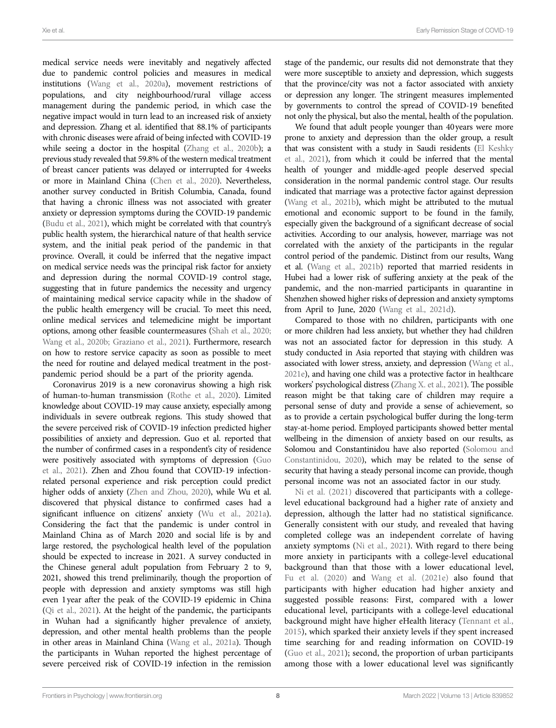medical service needs were inevitably and negatively affected due to pandemic control policies and measures in medical institutions ([Wang et al., 2020a](#page-12-21)), movement restrictions of populations, and city neighbourhood/rural village access management during the pandemic period, in which case the negative impact would in turn lead to an increased risk of anxiety and depression. Zhang et al. identified that 88.1% of participants with chronic diseases were afraid of being infected with COVID-19 while seeing a doctor in the hospital (Zhang et al., 2020b); a previous study revealed that 59.8% of the western medical treatment of breast cancer patients was delayed or interrupted for 4weeks or more in Mainland China [\(Chen et al., 2020](#page-11-24)). Nevertheless, another survey conducted in British Columbia, Canada, found that having a chronic illness was not associated with greater anxiety or depression symptoms during the COVID-19 pandemic [\(Budu et al., 2021\)](#page-11-25), which might be correlated with that country's public health system, the hierarchical nature of that health service system, and the initial peak period of the pandemic in that province. Overall, it could be inferred that the negative impact on medical service needs was the principal risk factor for anxiety and depression during the normal COVID-19 control stage, suggesting that in future pandemics the necessity and urgency of maintaining medical service capacity while in the shadow of the public health emergency will be crucial. To meet this need, online medical services and telemedicine might be important options, among other feasible countermeasures [\(Shah et al., 2020](#page-11-26); [Wang et al., 2020b;](#page-12-23) [Graziano et al., 2021\)](#page-11-27). Furthermore, research on how to restore service capacity as soon as possible to meet the need for routine and delayed medical treatment in the postpandemic period should be a part of the priority agenda.

Coronavirus 2019 is a new coronavirus showing a high risk of human-to-human transmission [\(Rothe et al., 2020](#page-11-28)). Limited knowledge about COVID-19 may cause anxiety, especially among individuals in severe outbreak regions. This study showed that the severe perceived risk of COVID-19 infection predicted higher possibilities of anxiety and depression. Guo et al. reported that the number of confirmed cases in a respondent's city of residence were positively associated with symptoms of depression [\(Guo](#page-11-13)  [et al., 2021](#page-11-13)). Zhen and Zhou found that COVID-19 infectionrelated personal experience and risk perception could predict higher odds of anxiety ([Zhen and Zhou, 2020\)](#page-12-24), while Wu et al. discovered that physical distance to confirmed cases had a significant influence on citizens' anxiety (Wu et al., 2021a). Considering the fact that the pandemic is under control in Mainland China as of March 2020 and social life is by and large restored, the psychological health level of the population should be expected to increase in 2021. A survey conducted in the Chinese general adult population from February 2 to 9, 2021, showed this trend preliminarily, though the proportion of people with depression and anxiety symptoms was still high even 1year after the peak of the COVID-19 epidemic in China [\(Qi et al., 2021\)](#page-11-29). At the height of the pandemic, the participants in Wuhan had a significantly higher prevalence of anxiety, depression, and other mental health problems than the people in other areas in Mainland China ([Wang et al., 2021a\)](#page-12-26). Though the participants in Wuhan reported the highest percentage of severe perceived risk of COVID-19 infection in the remission

stage of the pandemic, our results did not demonstrate that they were more susceptible to anxiety and depression, which suggests that the province/city was not a factor associated with anxiety or depression any longer. The stringent measures implemented by governments to control the spread of COVID-19 benefited not only the physical, but also the mental, health of the population.

We found that adult people younger than 40years were more prone to anxiety and depression than the older group, a result that was consistent with a study in Saudi residents [\(El Keshky](#page-11-30)  [et al., 2021](#page-11-30)), from which it could be inferred that the mental health of younger and middle-aged people deserved special consideration in the normal pandemic control stage. Our results indicated that marriage was a protective factor against depression (Wang et al., 2021b), which might be attributed to the mutual emotional and economic support to be found in the family, especially given the background of a significant decrease of social activities. According to our analysis, however, marriage was not correlated with the anxiety of the participants in the regular control period of the pandemic. Distinct from our results, Wang et al. [\(Wang et al., 2021b](#page-12-18)) reported that married residents in Hubei had a lower risk of suffering anxiety at the peak of the pandemic, and the non-married participants in quarantine in Shenzhen showed higher risks of depression and anxiety symptoms from April to June, 2020 [\(Wang et al., 2021d\)](#page-12-19).

Compared to those with no children, participants with one or more children had less anxiety, but whether they had children was not an associated factor for depression in this study. A study conducted in Asia reported that staying with children was associated with lower stress, anxiety, and depression ([Wang et al.,](#page-12-7)  [2021e](#page-12-7)), and having one child was a protective factor in healthcare workers' psychological distress [\(Zhang X. et al., 2021](#page-12-27)). The possible reason might be that taking care of children may require a personal sense of duty and provide a sense of achievement, so as to provide a certain psychological buffer during the long-term stay-at-home period. Employed participants showed better mental wellbeing in the dimension of anxiety based on our results, as Solomou and Constantinidou have also reported [\(Solomou and](#page-11-31)  [Constantinidou, 2020](#page-11-31)), which may be related to the sense of security that having a steady personal income can provide, though personal income was not an associated factor in our study.

Ni et al. (2021) discovered that participants with a collegelevel educational background had a higher rate of anxiety and depression, although the latter had no statistical significance. Generally consistent with our study, and revealed that having completed college was an independent correlate of having anxiety symptoms [\(Ni et al., 2021](#page-11-32)). With regard to there being more anxiety in participants with a college-level educational background than that those with a lower educational level, [Fu et al. \(2020\)](#page-11-33) and [Wang et al. \(2021e\)](#page-12-7) also found that participants with higher education had higher anxiety and suggested possible reasons: First, compared with a lower educational level, participants with a college-level educational background might have higher eHealth literacy ([Tennant et al.,](#page-12-28)  [2015\)](#page-12-28), which sparked their anxiety levels if they spent increased time searching for and reading information on COVID-19 [\(Guo et al., 2021](#page-11-13)); second, the proportion of urban participants among those with a lower educational level was significantly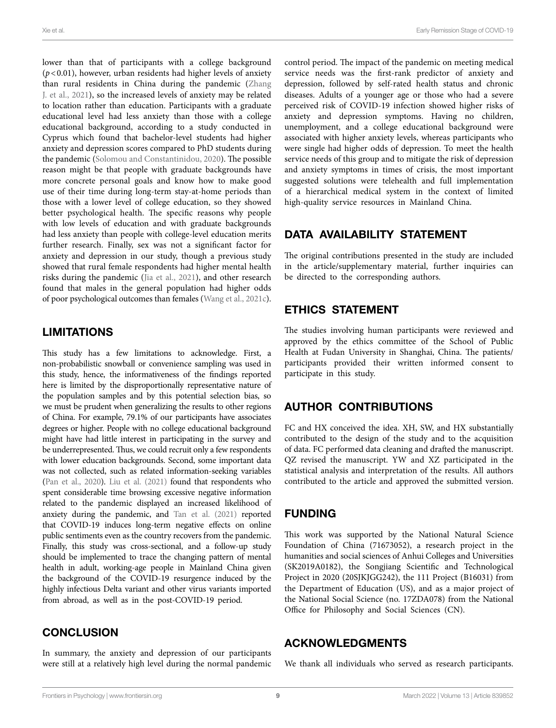lower than that of participants with a college background (*p*<0.01), however, urban residents had higher levels of anxiety than rural residents in China during the pandemic [\(Zhang](#page-12-29)  [J. et al., 2021](#page-12-29)), so the increased levels of anxiety may be related to location rather than education. Participants with a graduate educational level had less anxiety than those with a college educational background, according to a study conducted in Cyprus which found that bachelor-level students had higher anxiety and depression scores compared to PhD students during the pandemic [\(Solomou and Constantinidou, 2020](#page-11-31)). The possible reason might be that people with graduate backgrounds have more concrete personal goals and know how to make good use of their time during long-term stay-at-home periods than those with a lower level of college education, so they showed better psychological health. The specific reasons why people with low levels of education and with graduate backgrounds had less anxiety than people with college-level education merits further research. Finally, sex was not a significant factor for anxiety and depression in our study, though a previous study showed that rural female respondents had higher mental health risks during the pandemic [\(Jia et al., 2021\)](#page-11-34), and other research found that males in the general population had higher odds of poor psychological outcomes than females [\(Wang et al., 2021c](#page-12-20)).

## LIMITATIONS

This study has a few limitations to acknowledge. First, a non-probabilistic snowball or convenience sampling was used in this study, hence, the informativeness of the findings reported here is limited by the disproportionally representative nature of the population samples and by this potential selection bias, so we must be prudent when generalizing the results to other regions of China. For example, 79.1% of our participants have associates degrees or higher. People with no college educational background might have had little interest in participating in the survey and be underrepresented. Thus, we could recruit only a few respondents with lower education backgrounds. Second, some important data was not collected, such as related information-seeking variables (Pan et al., 2020). Liu et al. (2021) found that respondents who spent considerable time browsing excessive negative information related to the pandemic displayed an increased likelihood of anxiety during the pandemic, and [Tan et al. \(2021\)](#page-12-30) reported that COVID-19 induces long-term negative effects on online public sentiments even as the country recovers from the pandemic. Finally, this study was cross-sectional, and a follow-up study should be implemented to trace the changing pattern of mental health in adult, working-age people in Mainland China given the background of the COVID-19 resurgence induced by the highly infectious Delta variant and other virus variants imported from abroad, as well as in the post-COVID-19 period.

**CONCLUSION** 

In summary, the anxiety and depression of our participants were still at a relatively high level during the normal pandemic

control period. The impact of the pandemic on meeting medical service needs was the first-rank predictor of anxiety and depression, followed by self-rated health status and chronic diseases. Adults of a younger age or those who had a severe perceived risk of COVID-19 infection showed higher risks of anxiety and depression symptoms. Having no children, unemployment, and a college educational background were associated with higher anxiety levels, whereas participants who were single had higher odds of depression. To meet the health service needs of this group and to mitigate the risk of depression and anxiety symptoms in times of crisis, the most important suggested solutions were telehealth and full implementation of a hierarchical medical system in the context of limited high-quality service resources in Mainland China.

## DATA AVAILABILITY STATEMENT

The original contributions presented in the study are included in the article/supplementary material, further inquiries can be directed to the corresponding authors.

# ETHICS STATEMENT

The studies involving human participants were reviewed and approved by the ethics committee of the School of Public Health at Fudan University in Shanghai, China. The patients/ participants provided their written informed consent to participate in this study.

## AUTHOR CONTRIBUTIONS

FC and HX conceived the idea. XH, SW, and HX substantially contributed to the design of the study and to the acquisition of data. FC performed data cleaning and drafted the manuscript. QZ revised the manuscript. YW and XZ participated in the statistical analysis and interpretation of the results. All authors contributed to the article and approved the submitted version.

## FUNDING

This work was supported by the National Natural Science Foundation of China (71673052), a research project in the humanities and social sciences of Anhui Colleges and Universities (SK2019A0182), the Songjiang Scientific and Technological Project in 2020 (20SJKJGG242), the 111 Project (B16031) from the Department of Education (US), and as a major project of the National Social Science (no. 17ZDA078) from the National Office for Philosophy and Social Sciences (CN).

#### ACKNOWLEDGMENTS

We thank all individuals who served as research participants.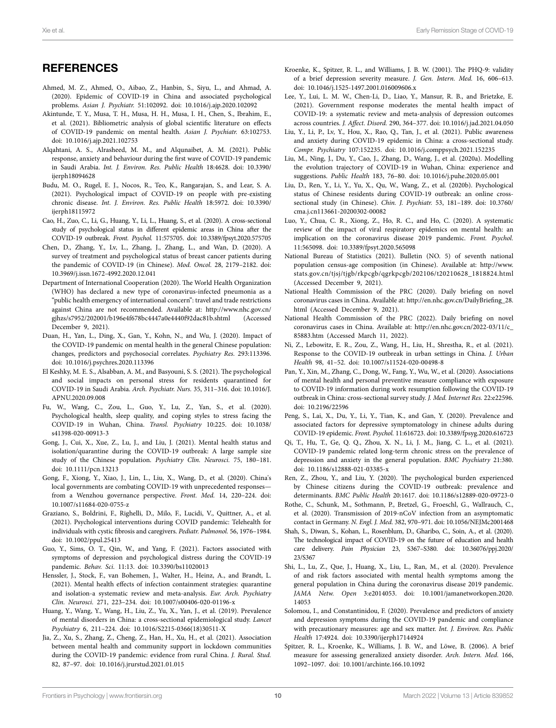# **REFERENCES**

- <span id="page-11-16"></span>Ahmed, M. Z., Ahmed, O., Aibao, Z., Hanbin, S., Siyu, L., and Ahmad, A. (2020). Epidemic of COVID-19 in China and associated psychological problems. *Asian J. Psychiatr.* 51:102092. doi: [10.1016/j.ajp.2020.102092](https://doi.org/10.1016/j.ajp.2020.102092)
- <span id="page-11-6"></span>Akintunde, T. Y., Musa, T. H., Musa, H. H., Musa, I. H., Chen, S., Ibrahim, E., et al. (2021). Bibliometric analysis of global scientific literature on effects of COVID-19 pandemic on mental health. *Asian J. Psychiatr.* 63:102753. doi: [10.1016/j.ajp.2021.102753](https://doi.org/10.1016/j.ajp.2021.102753)
- <span id="page-11-23"></span>Alqahtani, A. S., Alrasheed, M. M., and Alqunaibet, A. M. (2021). Public response, anxiety and behaviour during the first wave of COVID-19 pandemic in Saudi Arabia. *Int. J. Environ. Res. Public Health* 18:4628. doi: [10.3390/](https://doi.org/10.3390/ijerph18094628) [ijerph18094628](https://doi.org/10.3390/ijerph18094628)
- <span id="page-11-25"></span>Budu, M. O., Rugel, E. J., Nocos, R., Teo, K., Rangarajan, S., and Lear, S. A. (2021). Psychological impact of COVID-19 on people with pre-existing chronic disease. *Int. J. Environ. Res. Public Health* 18:5972. doi: [10.3390/](https://doi.org/10.3390/ijerph18115972) [ijerph18115972](https://doi.org/10.3390/ijerph18115972)
- <span id="page-11-8"></span>Cao, H., Zuo, C., Li, G., Huang, Y., Li, L., Huang, S., et al. (2020). A cross-sectional study of psychological status in different epidemic areas in China after the COVID-19 outbreak. *Front. Psychol.* 11:575705. doi: [10.3389/fpsyt.2020.575705](https://doi.org/10.3389/fpsyt.2020.575705)
- <span id="page-11-24"></span>Chen, D., Zhang, Y., Lv, L., Zhang, J., Zhang, L., and Wan, D. (2020). A survey of treatment and psychological status of breast cancer patients during the pandemic of COVID-19 (in Chinese). *Mod. Oncol.* 28, 2179–2182. doi: [10.3969/j.issn.1672-4992.2020.12.041](https://doi.org/10.3969/j.issn.1672-4992.2020.12.041)
- <span id="page-11-1"></span>Department of International Cooperation (2020). The World Health Organization (WHO) has declared a new type of coronavirus-infected pneumonia as a "public health emergency of international concern": travel and trade restrictions against China are not recommended. Available at: [http://www.nhc.gov.cn/](http://www.nhc.gov.cn/gjhzs/s7952/202001/b196e4f678bc4447a0e4440f92dac81b.shtml) [gjhzs/s7952/202001/b196e4f678bc4447a0e4440f92dac81b.shtml](http://www.nhc.gov.cn/gjhzs/s7952/202001/b196e4f678bc4447a0e4440f92dac81b.shtml) (Accessed December 9, 2021).
- <span id="page-11-9"></span>Duan, H., Yan, L., Ding, X., Gan, Y., Kohn, N., and Wu, J. (2020). Impact of the COVID-19 pandemic on mental health in the general Chinese population: changes, predictors and psychosocial correlates. *Psychiatry Res.* 293:113396. doi: [10.1016/j.psychres.2020.113396](https://doi.org/10.1016/j.psychres.2020.113396)
- <span id="page-11-30"></span>El Keshky, M. E. S., Alsabban, A. M., and Basyouni, S. S. (2021). The psychological and social impacts on personal stress for residents quarantined for COVID-19 in Saudi Arabia. *Arch. Psychiatr. Nurs.* 35, 311–316. doi: [10.1016/J.](https://doi.org/10.1016/J.APNU.2020.09.008) [APNU.2020.09.008](https://doi.org/10.1016/J.APNU.2020.09.008)
- <span id="page-11-33"></span>Fu, W., Wang, C., Zou, L., Guo, Y., Lu, Z., Yan, S., et al. (2020). Psychological health, sleep quality, and coping styles to stress facing the COVID-19 in Wuhan, China. *Transl. Psychiatry* 10:225. doi: [10.1038/](https://doi.org/10.1038/s41398-020-00913-3) [s41398-020-00913-3](https://doi.org/10.1038/s41398-020-00913-3)
- <span id="page-11-12"></span>Gong, J., Cui, X., Xue, Z., Lu, J., and Liu, J. (2021). Mental health status and isolation/quarantine during the COVID-19 outbreak: A large sample size study of the Chinese population. *Psychiatry Clin. Neurosci.* 75, 180–181. doi: [10.1111/pcn.13213](https://doi.org/10.1111/pcn.13213)
- <span id="page-11-0"></span>Gong, F., Xiong, Y., Xiao, J., Lin, L., Liu, X., Wang, D., et al. (2020). China's local governments are combating COVID-19 with unprecedented responses from a Wenzhou governance perspective. *Front. Med.* 14, 220–224. doi: [10.1007/s11684-020-0755-z](https://doi.org/10.1007/s11684-020-0755-z)
- <span id="page-11-27"></span>Graziano, S., Boldrini, F., Righelli, D., Milo, F., Lucidi, V., Quittner, A., et al. (2021). Psychological interventions during COVID pandemic: Telehealth for individuals with cystic fibrosis and caregivers. *Pediatr. Pulmonol.* 56, 1976–1984. doi: [10.1002/ppul.25413](https://doi.org/10.1002/ppul.25413)
- <span id="page-11-13"></span>Guo, Y., Sims, O. T., Qin, W., and Yang, F. (2021). Factors associated with symptoms of depression and psychological distress during the COVID-19 pandemic. *Behav. Sci.* 11:13. doi: [10.3390/bs11020013](https://doi.org/10.3390/bs11020013)
- <span id="page-11-5"></span>Henssler, J., Stock, F., van Bohemen, J., Walter, H., Heinz, A., and Brandt, L. (2021). Mental health effects of infection containment strategies: quarantine and isolation-a systematic review and meta-analysis. *Eur. Arch. Psychiatry Clin. Neurosci.* 271, 223–234. doi: [10.1007/s00406-020-01196-x](https://doi.org/10.1007/s00406-020-01196-x)
- <span id="page-11-20"></span>Huang, Y., Wang, Y., Wang, H., Liu, Z., Yu, X., Yan, J., et al. (2019). Prevalence of mental disorders in China: a cross-sectional epidemiological study. *Lancet Psychiatry* 6, 211–224. doi: [10.1016/S2215-0366\(18\)30511-X](https://doi.org/10.1016/S2215-0366(18)30511-X)
- <span id="page-11-34"></span>Jia, Z., Xu, S., Zhang, Z., Cheng, Z., Han, H., Xu, H., et al. (2021). Association between mental health and community support in lockdown communities during the COVID-19 pandemic: evidence from rural China. *J. Rural. Stud.* 82, 87–97. doi: [10.1016/j.jrurstud.2021.01.015](https://doi.org/10.1016/j.jrurstud.2021.01.015)
- <span id="page-11-19"></span>Kroenke, K., Spitzer, R. L., and Williams, J. B. W. (2001). The PHQ-9: validity of a brief depression severity measure. *J. Gen. Intern. Med.* 16, 606–613. doi: [10.1046/j.1525-1497.2001.016009606.x](https://doi.org/10.1046/j.1525-1497.2001.016009606.x)
- <span id="page-11-22"></span>Lee, Y., Lui, L. M. W., Chen-Li, D., Liao, Y., Mansur, R. B., and Brietzke, E. (2021). Government response moderates the mental health impact of COVID-19: a systematic review and meta-analysis of depression outcomes across countries. *J. Affect. Disord.* 290, 364–377. doi: [10.1016/j.jad.2021.04.050](https://doi.org/10.1016/j.jad.2021.04.050)
- <span id="page-11-4"></span>Liu, Y., Li, P., Lv, Y., Hou, X., Rao, Q., Tan, J., et al. (2021). Public awareness and anxiety during COVID-19 epidemic in China: a cross-sectional study. *Compr. Psychiatry* 107:152235. doi: [10.1016/j.comppsych.2021.152235](https://doi.org/10.1016/j.comppsych.2021.152235)
- <span id="page-11-3"></span>Liu, M., Ning, J., Du, Y., Cao, J., Zhang, D., Wang, J., et al. (2020a). Modelling the evolution trajectory of COVID-19 in Wuhan, China: experience and suggestions. *Public Health* 183, 76–80. doi: [10.1016/j.puhe.2020.05.001](https://doi.org/10.1016/j.puhe.2020.05.001)
- <span id="page-11-21"></span>Liu, D., Ren, Y., Li, Y., Yu, X., Qu, W., Wang, Z., et al. (2020b). Psychological status of Chinese residents during COVID-19 outbreak: an online crosssectional study (in Chinese). *Chin. J. Psychiatr.* 53, 181–189. doi: [10.3760/](https://doi.org/10.3760/cma.j.cn113661-20200302-00082) [cma.j.cn113661-20200302-00082](https://doi.org/10.3760/cma.j.cn113661-20200302-00082)
- <span id="page-11-14"></span>Luo, Y., Chua, C. R., Xiong, Z., Ho, R. C., and Ho, C. (2020). A systematic review of the impact of viral respiratory epidemics on mental health: an implication on the coronavirus disease 2019 pandemic. *Front. Psychol.* 11:565098. doi: [10.3389/fpsyt.2020.565098](https://doi.org/10.3389/fpsyt.2020.565098)
- <span id="page-11-15"></span>National Bureau of Statistics (2021). Bulletin (NO. 5) of seventh national population census-age composition (in Chinese). Available at: [http://www.](http://www.stats.gov.cn/tjsj/tjgb/rkpcgb/qgrkpcgb/202106/t20210628_1818824.html) [stats.gov.cn/tjsj/tjgb/rkpcgb/qgrkpcgb/202106/t20210628\\_1818824.html](http://www.stats.gov.cn/tjsj/tjgb/rkpcgb/qgrkpcgb/202106/t20210628_1818824.html) (Accessed December 9, 2021).
- <span id="page-11-17"></span>National Health Commission of the PRC (2020). Daily briefing on novel coronavirus cases in China. Available at: [http://en.nhc.gov.cn/DailyBriefing\\_28.](http://en.nhc.gov.cn/DailyBriefing_28.html) [html](http://en.nhc.gov.cn/DailyBriefing_28.html) (Accessed December 9, 2021).
- <span id="page-11-2"></span>National Health Commission of the PRC (2022). Daily briefing on novel coronavirus cases in China. Available at: [http://en.nhc.gov.cn/2022-03/11/c\\_](http://en.nhc.gov.cn/2022-03/11/c_85883.htm) [85883.htm](http://en.nhc.gov.cn/2022-03/11/c_85883.htm) (Accessed March 11, 2022).
- <span id="page-11-32"></span>Ni, Z., Lebowitz, E. R., Zou, Z., Wang, H., Liu, H., Shrestha, R., et al. (2021). Response to the COVID-19 outbreak in urban settings in China. *J. Urban Health* 98, 41–52. doi: [10.1007/s11524-020-00498-8](https://doi.org/10.1007/s11524-020-00498-8)
- <span id="page-11-35"></span>Pan, Y., Xin, M., Zhang, C., Dong, W., Fang, Y., Wu, W., et al. (2020). Associations of mental health and personal preventive measure compliance with exposure to COVID-19 information during work resumption following the COVID-19 outbreak in China: cross-sectional survey study. *J. Med. Internet Res.* 22:e22596. doi: [10.2196/22596](https://doi.org/10.2196/22596)
- <span id="page-11-10"></span>Peng, S., Lai, X., Du, Y., Li, Y., Tian, K., and Gan, Y. (2020). Prevalence and associated factors for depressive symptomatology in chinese adults during COVID-19 epidemic. *Front. Psychol.* 11:616723. doi: [10.3389/fpsyg.2020.616723](https://doi.org/10.3389/fpsyg.2020.616723)
- <span id="page-11-29"></span>Qi, T., Hu, T., Ge, Q. Q., Zhou, X. N., Li, J. M., Jiang, C. L., et al. (2021). COVID-19 pandemic related long-term chronic stress on the prevalence of depression and anxiety in the general population. *BMC Psychiatry* 21:380. doi: [10.1186/s12888-021-03385-x](https://doi.org/10.1186/s12888-021-03385-x)
- <span id="page-11-11"></span>Ren, Z., Zhou, Y., and Liu, Y. (2020). The psychological burden experienced by Chinese citizens during the COVID-19 outbreak: prevalence and determinants. *BMC Public Health* 20:1617. doi: [10.1186/s12889-020-09723-0](https://doi.org/10.1186/s12889-020-09723-0)
- <span id="page-11-28"></span>Rothe, C., Schunk, M., Sothmann, P., Bretzel, G., Froeschl, G., Wallrauch, C., et al. (2020). Transmission of 2019-nCoV infection from an asymptomatic contact in Germany. *N. Engl. J. Med.* 382, 970–971. doi: [10.1056/NEJMc2001468](https://doi.org/10.1056/NEJMc2001468)
- <span id="page-11-26"></span>Shah, S., Diwan, S., Kohan, L., Rosenblum, D., Gharibo, C., Soin, A., et al. (2020). The technological impact of COVID-19 on the future of education and health care delivery. *Pain Physician* 23, S367–S380. doi: [10.36076/ppj.2020/](https://doi.org/10.36076/ppj.2020/23/S367) [23/S367](https://doi.org/10.36076/ppj.2020/23/S367)
- <span id="page-11-7"></span>Shi, L., Lu, Z., Que, J., Huang, X., Liu, L., Ran, M., et al. (2020). Prevalence of and risk factors associated with mental health symptoms among the general population in China during the coronavirus disease 2019 pandemic. *JAMA Netw. Open* 3:e2014053. doi: [10.1001/jamanetworkopen.2020.](https://doi.org/10.1001/jamanetworkopen.2020.14053) [14053](https://doi.org/10.1001/jamanetworkopen.2020.14053)
- <span id="page-11-31"></span>Solomou, I., and Constantinidou, F. (2020). Prevalence and predictors of anxiety and depression symptoms during the COVID-19 pandemic and compliance with precautionary measures: age and sex matter. *Int. J. Environ. Res. Public Health* 17:4924. doi: [10.3390/ijerph17144924](https://doi.org/10.3390/ijerph17144924)
- <span id="page-11-18"></span>Spitzer, R. L., Kroenke, K., Williams, J. B. W., and Löwe, B. (2006). A brief measure for assessing generalized anxiety disorder. *Arch. Intern. Med.* 166, 1092–1097. doi: [10.1001/archinte.166.10.1092](https://doi.org/10.1001/archinte.166.10.1092)